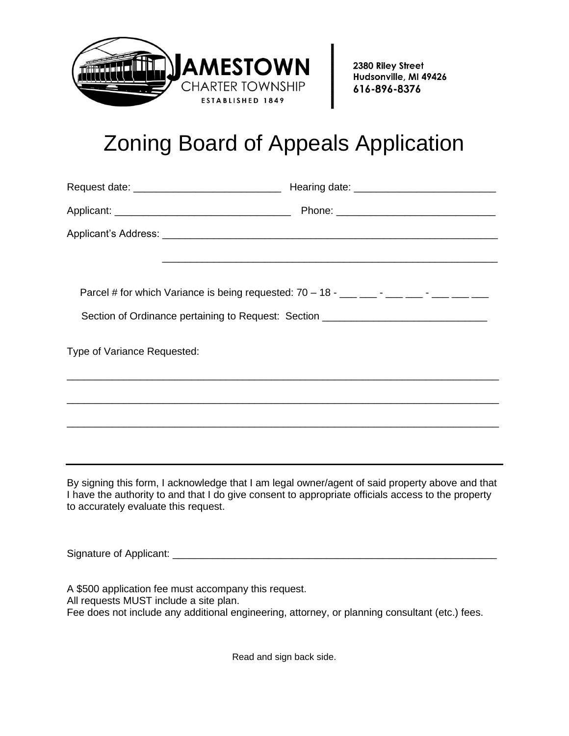

2380 Riley Street Hudsonville, MI 49426 616-896-8376

## Zoning Board of Appeals Application

|                                      | Parcel # for which Variance is being requested: $70 - 18 -$ ___ ___ - ___ __ - ___ __ __                                                                                                              |
|--------------------------------------|-------------------------------------------------------------------------------------------------------------------------------------------------------------------------------------------------------|
|                                      | Section of Ordinance pertaining to Request: Section ____________________________                                                                                                                      |
| Type of Variance Requested:          |                                                                                                                                                                                                       |
|                                      | <u> 1989 - Johann Harry Harry Harry Harry Harry Harry Harry Harry Harry Harry Harry Harry Harry Harry Harry Harry</u>                                                                                 |
|                                      |                                                                                                                                                                                                       |
|                                      |                                                                                                                                                                                                       |
| to accurately evaluate this request. | By signing this form, I acknowledge that I am legal owner/agent of said property above and that<br>I have the authority to and that I do give consent to appropriate officials access to the property |
|                                      |                                                                                                                                                                                                       |

A \$500 application fee must accompany this request. All requests MUST include a site plan. Fee does not include any additional engineering, attorney, or planning consultant (etc.) fees.

Read and sign back side.